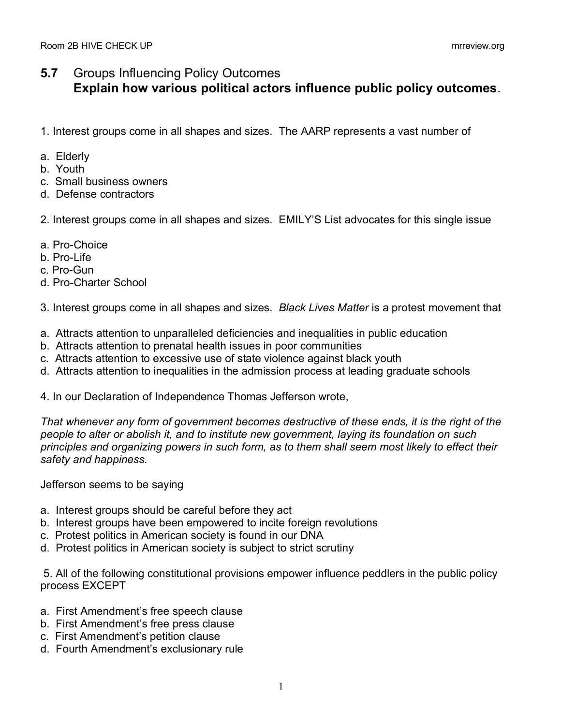## **5.7** Groups Influencing Policy Outcomes **Explain how various political actors influence public policy outcomes**.

- 1. Interest groups come in all shapes and sizes. The AARP represents a vast number of
- a. Elderly
- b. Youth
- c. Small business owners
- d. Defense contractors
- 2. Interest groups come in all shapes and sizes. EMILY'S List advocates for this single issue
- a. Pro-Choice
- b. Pro-Life
- c. Pro-Gun
- d. Pro-Charter School

3. Interest groups come in all shapes and sizes. *Black Lives Matter* is a protest movement that

- a. Attracts attention to unparalleled deficiencies and inequalities in public education
- b. Attracts attention to prenatal health issues in poor communities
- c. Attracts attention to excessive use of state violence against black youth
- d. Attracts attention to inequalities in the admission process at leading graduate schools

4. In our Declaration of Independence Thomas Jefferson wrote,

*That whenever any form of government becomes destructive of these ends, it is the right of the people to alter or abolish it, and to institute new government, laying its foundation on such principles and organizing powers in such form, as to them shall seem most likely to effect their safety and happiness.*

Jefferson seems to be saying

- a. Interest groups should be careful before they act
- b. Interest groups have been empowered to incite foreign revolutions
- c. Protest politics in American society is found in our DNA
- d. Protest politics in American society is subject to strict scrutiny

5. All of the following constitutional provisions empower influence peddlers in the public policy process EXCEPT

- a. First Amendment's free speech clause
- b. First Amendment's free press clause
- c. First Amendment's petition clause
- d. Fourth Amendment's exclusionary rule